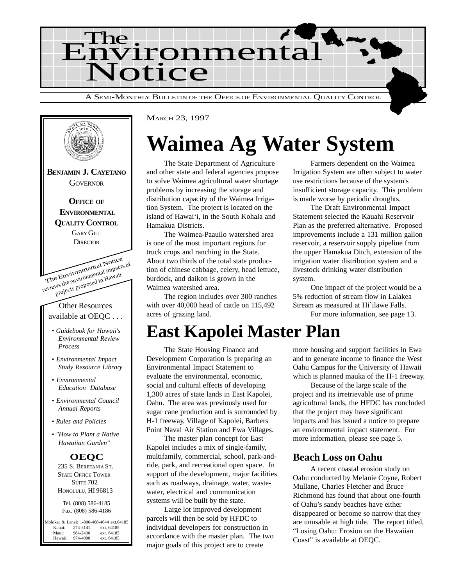



MARCH 23, 1997

## **Waimea Ag Water System**

The State Department of Agriculture and other state and federal agencies propose to solve Waimea agricultural water shortage problems by increasing the storage and distribution capacity of the Waimea Irrigation System. The project is located on the island of Hawai'i, in the South Kohala and Hamakua Districts.

The Waimea-Paauilo watershed area is one of the most important regions for truck crops and ranching in the State. About two thirds of the total state production of chinese cabbage, celery, head lettuce, burdock, and daikon is grown in the Waimea watershed area.

The region includes over 300 ranches with over 40,000 head of cattle on 115,492 acres of grazing land.

Farmers dependent on the Waimea Irrigation System are often subject to water use restrictions because of the system's insufficient storage capacity. This problem is made worse by periodic droughts.

The Draft Environmental Impact Statement selected the Kauahi Reservoir Plan as the preferred alternative. Proposed improvements include a 131 million gallon reservoir, a reservoir supply pipeline from the upper Hamakua Ditch, extension of the irrigation water distribution system and a livestock drinking water distribution system.

One impact of the project would be a 5% reduction of stream flow in Lalakea Stream as measured at Hi`ilawe Falls.

For more information, see page 13.

### **East Kapolei Master Plan**

The State Housing Finance and Development Corporation is preparing an Environmental Impact Statement to evaluate the environmental, economic, social and cultural effects of developing 1,300 acres of state lands in East Kapolei, Oahu. The area was previously used for sugar cane production and is surrounded by H-1 freeway, Village of Kapolei, Barbers Point Naval Air Station and Ewa Villages.

The master plan concept for East Kapolei includes a mix of single-family, multifamily, commercial, school, park-andride, park, and recreational open space. In support of the development, major facilities such as roadways, drainage, water, wastewater, electrical and communication systems will be built by the state.

Large lot improved development parcels will then be sold by HFDC to individual developers for construction in accordance with the master plan. The two major goals of this project are to create

more housing and support facilities in Ewa and to generate income to finance the West Oahu Campus for the University of Hawaii which is planned mauka of the H-1 freeway.

Because of the large scale of the project and its irretrievable use of prime agricultural lands, the HFDC has concluded that the project may have significant impacts and has issued a notice to prepare an environmental impact statement. For more information, please see page 5.

#### **Beach Loss on Oahu**

A recent coastal erosion study on Oahu conducted by Melanie Coyne, Robert Mullane, Charles Fletcher and Bruce Richmond has found that about one-fourth of Oahu's sandy beaches have either disappeared or become so narrow that they are unusable at high tide. The report titled, "Losing Oahu: Erosion on the Hawaiian Coast" is available at OEQC.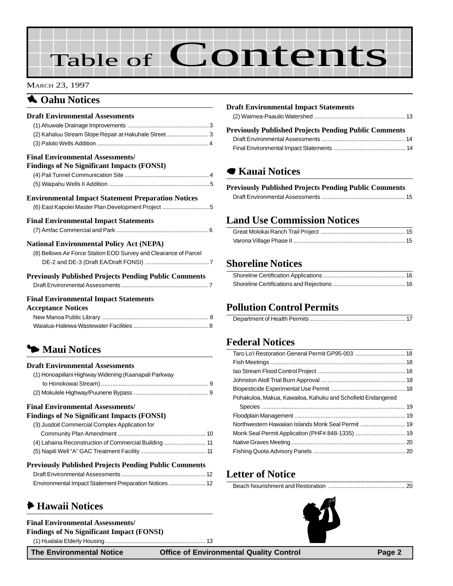# Table of Contents

#### MARCH 23, 1997

#### **1** Oahu Notices

| <b>Draft Environmental Assessments</b>                                                       |  |
|----------------------------------------------------------------------------------------------|--|
|                                                                                              |  |
| (2) Kahaluu Stream Slope Repair at Hakuhale Street  3                                        |  |
|                                                                                              |  |
| <b>Final Environmental Assessments/</b><br><b>Findings of No Significant Impacts (FONSI)</b> |  |
|                                                                                              |  |
|                                                                                              |  |
|                                                                                              |  |
| <b>Environmental Impact Statement Preparation Notices</b>                                    |  |
| (6) East Kapolei Master Plan Development Project 5                                           |  |
| <b>Final Environmental Impact Statements</b>                                                 |  |
|                                                                                              |  |
| <b>National Environmental Policy Act (NEPA)</b>                                              |  |
| (8) Bellows Air Force Station EOD Survey and Clearance of Parcel                             |  |
|                                                                                              |  |
| <b>Previously Published Projects Pending Public Comments</b>                                 |  |
|                                                                                              |  |
| <b>Final Environmental Impact Statements</b>                                                 |  |
| <b>Acceptance Notices</b>                                                                    |  |
|                                                                                              |  |

#### 3 **Maui Notices**

#### **Draft Environmental Assessments** [\(1\) Honoapiilani Highway Widening \(Kaanapali Parkway](#page-8-0) to Honokowai Stream) .................................................................. 9 [\(2\) Mokulele Highway/Puunene Bypass](#page-8-0) .............................................. 9

Waialua-Haleiwa Wastewater Facilities ...............................................8

#### **Final Environmental Assessments/**

#### **Findings of No Significant Impacts (FONSI)**

| (3) Jusdoit Commercial Complex Application for        |  |
|-------------------------------------------------------|--|
|                                                       |  |
| (4) Lahaina Reconstruction of Commercial Building  11 |  |
|                                                       |  |

#### **Previously Published Projects Pending Public Comments**

#### 6 **[Hawaii Notices](#page-12-0)**

#### **Final Environmental Assessments/ Findings of No Significant Impact (FONSI)**

[\(1\) Hualalai Elderly Housing.............................................................. 13](#page-12-0)

#### **Draft Environmental Impact Statements** (2) Waimea-Paauilo Watershed [........................................................ 13](#page-12-0)

| <b>Previously Published Projects Pending Public Comments</b> |  |
|--------------------------------------------------------------|--|
|                                                              |  |
|                                                              |  |

#### 7 **Kauai Notices**

| <b>Previously Published Projects Pending Public Comments</b> |  |
|--------------------------------------------------------------|--|
|                                                              |  |

#### **Land Use Commission Notices**

#### **[Shoreline Notices](#page-15-0)**

#### **Pollution Control Permits**

#### **[Federal Notices](#page-17-0)**

| Pohakuloa, Makua, Kawailoa, Kahuku and Schofield Endangered |  |
|-------------------------------------------------------------|--|
|                                                             |  |
|                                                             |  |
| Northwestern Hawaiian Islands Monk Seal Permit  19          |  |
|                                                             |  |
|                                                             |  |
|                                                             |  |

#### **Letter of Notice**

|--|--|

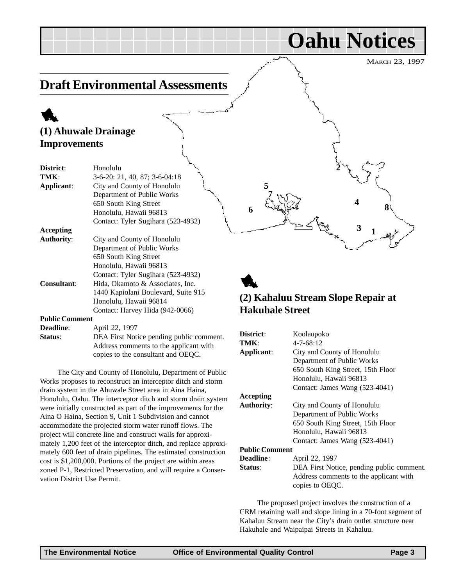MARCH 23, 1997

**1**

**3**

**4**

**Oahu Notices**

**2**

### <span id="page-2-0"></span>**Draft Environmental Assessments**

### 1 **(1) Ahuwale Drainage Improvements**

| District:             | Honolulu                            |
|-----------------------|-------------------------------------|
| TMK :                 | $3-6-20$ : 21, 40, 87; 3-6-04:18    |
| Applicant:            | City and County of Honolulu         |
|                       | Department of Public Works          |
|                       | 650 South King Street               |
|                       | Honolulu, Hawaii 96813              |
|                       | Contact: Tyler Sugihara (523-4932)  |
| Accepting             |                                     |
| <b>Authority:</b>     | City and County of Honolulu         |
|                       | Department of Public Works          |
|                       | 650 South King Street               |
|                       | Honolulu, Hawaii 96813              |
|                       | Contact: Tyler Sugihara (523-4932)  |
| <b>Consultant:</b>    | Hida, Okamoto & Associates, Inc.    |
|                       | 1440 Kapiolani Boulevard, Suite 915 |
|                       | Honolulu, Hawaii 96814              |
|                       | Contact: Harvey Hida (942-0066)     |
| <b>Public Comment</b> |                                     |

| <b>Deadline:</b> | April 22, 1997                           |
|------------------|------------------------------------------|
| Status:          | DEA First Notice pending public comment. |
|                  | Address comments to the applicant with   |
|                  | copies to the consultant and OEQC.       |

The City and County of Honolulu, Department of Public Works proposes to reconstruct an interceptor ditch and storm drain system in the Ahuwale Street area in Aina Haina, Honolulu, Oahu. The interceptor ditch and storm drain system were initially constructed as part of the improvements for the Aina O Haina, Section 9, Unit 1 Subdivision and cannot accommodate the projected storm water runoff flows. The project will concrete line and construct walls for approximately 1,200 feet of the interceptor ditch, and replace approximately 600 feet of drain pipelines. The estimated construction cost is \$1,200,000. Portions of the project are within areas zoned P-1, Restricted Preservation, and will require a Conservation District Use Permit.

#### 1 **(2) Kahaluu Stream Slope Repair at Hakuhale Street**

**6 8**

**5**

**7**

| District:             | Koolaupoko                                                                                             |
|-----------------------|--------------------------------------------------------------------------------------------------------|
| TMK:                  | $4 - 7 - 68:12$                                                                                        |
| Applicant:            | City and County of Honolulu                                                                            |
|                       | Department of Public Works                                                                             |
|                       | 650 South King Street, 15th Floor                                                                      |
|                       | Honolulu, Hawaii 96813                                                                                 |
|                       | Contact: James Wang (523-4041)                                                                         |
| Accepting             |                                                                                                        |
| <b>Authority:</b>     | City and County of Honolulu                                                                            |
|                       | Department of Public Works                                                                             |
|                       | 650 South King Street, 15th Floor                                                                      |
|                       | Honolulu, Hawaii 96813                                                                                 |
|                       | Contact: James Wang (523-4041)                                                                         |
| <b>Public Comment</b> |                                                                                                        |
| <b>Deadline:</b>      | April 22, 1997                                                                                         |
| Status:               | DEA First Notice, pending public comment.<br>Address comments to the applicant with<br>copies to OEQC. |
|                       |                                                                                                        |

The proposed project involves the construction of a CRM retaining wall and slope lining in a 70-foot segment of Kahaluu Stream near the City's drain outlet structure near Hakuhale and Waipaipai Streets in Kahaluu.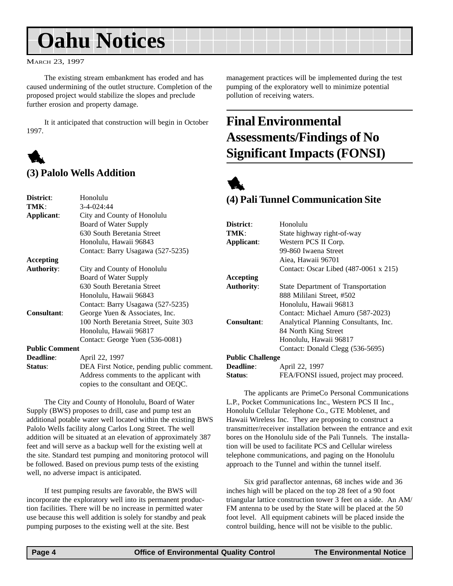## <span id="page-3-0"></span>**Oahu Notices**

MARCH 23, 1997

The existing stream embankment has eroded and has caused undermining of the outlet structure. Completion of the proposed project would stabilize the slopes and preclude further erosion and property damage.

It it anticipated that construction will begin in October 1997.



#### **(3) Palolo Wells Addition**

| District:             | Honolulu                                  |
|-----------------------|-------------------------------------------|
| TMK:                  | 3-4-024:44                                |
| Applicant:            | City and County of Honolulu               |
|                       | Board of Water Supply                     |
|                       | 630 South Beretania Street                |
|                       | Honolulu, Hawaii 96843                    |
|                       | Contact: Barry Usagawa (527-5235)         |
| Accepting             |                                           |
| <b>Authority:</b>     | City and County of Honolulu               |
|                       | <b>Board of Water Supply</b>              |
|                       | 630 South Beretania Street                |
|                       | Honolulu, Hawaii 96843                    |
|                       | Contact: Barry Usagawa (527-5235)         |
| Consultant:           | George Yuen & Associates, Inc.            |
|                       | 100 North Beretania Street, Suite 303     |
|                       | Honolulu, Hawaii 96817                    |
|                       | Contact: George Yuen (536-0081)           |
| <b>Public Comment</b> |                                           |
| <b>Deadline:</b>      | April 22, 1997                            |
| Status:               | DEA First Notice, pending public comment. |
|                       | Address comments to the applicant with    |
|                       | copies to the consultant and OEQC.        |

The City and County of Honolulu, Board of Water Supply (BWS) proposes to drill, case and pump test an additional potable water well located within the existing BWS Palolo Wells facility along Carlos Long Street. The well addition will be situated at an elevation of approximately 387 feet and will serve as a backup well for the existing well at the site. Standard test pumping and monitoring protocol will be followed. Based on previous pump tests of the existing well, no adverse impact is anticipated.

If test pumping results are favorable, the BWS will incorporate the exploratory well into its permanent production facilities. There will be no increase in permitted water use because this well addition is solely for standby and peak pumping purposes to the existing well at the site. Best

management practices will be implemented during the test pumping of the exploratory well to minimize potential pollution of receiving waters.

### **Final Environmental Assessments/Findings of No Significant Impacts (FONSI)**



#### **(4) Pali Tunnel Communication Site**

| District:               | Honolulu                               |
|-------------------------|----------------------------------------|
| TMK:                    | State highway right-of-way             |
| Applicant:              | Western PCS II Corp.                   |
|                         | 99-860 Iwaena Street                   |
|                         | Aiea, Hawaii 96701                     |
|                         | Contact: Oscar Libed (487-0061 x 215)  |
| Accepting               |                                        |
| <b>Authority:</b>       | State Department of Transportation     |
|                         | 888 Mililani Street, #502              |
|                         | Honolulu, Hawaii 96813                 |
|                         | Contact: Michael Amuro (587-2023)      |
| <b>Consultant:</b>      | Analytical Planning Consultants, Inc.  |
|                         | 84 North King Street                   |
|                         | Honolulu, Hawaii 96817                 |
|                         | Contact: Donald Clegg (536-5695)       |
| <b>Public Challenge</b> |                                        |
| <b>Deadline:</b>        | April 22, 1997                         |
| Status:                 | FEA/FONSI issued, project may proceed. |

The applicants are PrimeCo Personal Communications L.P., Pocket Communications Inc., Western PCS II Inc., Honolulu Cellular Telephone Co., GTE Moblenet, and Hawaii Wireless Inc. They are proposing to construct a transmitter/receiver installation between the entrance and exit bores on the Honolulu side of the Pali Tunnels. The installation will be used to facilitate PCS and Cellular wireless telephone communications, and paging on the Honolulu approach to the Tunnel and within the tunnel itself.

Six grid paraflector antennas, 68 inches wide and 36 inches high will be placed on the top 28 feet of a 90 foot triangular lattice construction tower 3 feet on a side. An AM/ FM antenna to be used by the State will be placed at the 50 foot level. All equipment cabinets will be placed inside the control building, hence will not be visible to the public.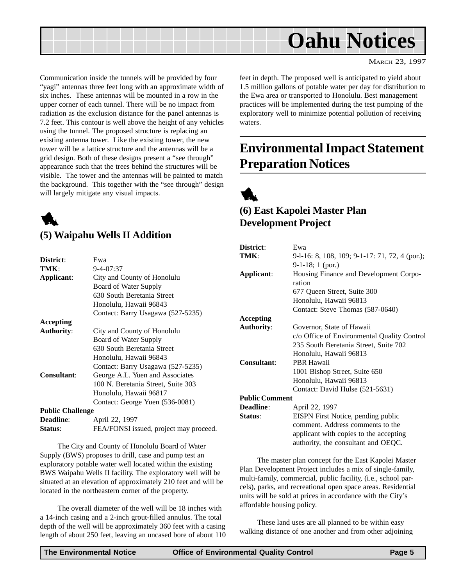<span id="page-4-0"></span>

MARCH 23, 1997

Communication inside the tunnels will be provided by four "yagi" antennas three feet long with an approximate width of six inches. These antennas will be mounted in a row in the upper corner of each tunnel. There will be no impact from radiation as the exclusion distance for the panel antennas is 7.2 feet. This contour is well above the height of any vehicles using the tunnel. The proposed structure is replacing an existing antenna tower. Like the existing tower, the new tower will be a lattice structure and the antennas will be a grid design. Both of these designs present a "see through" appearance such that the trees behind the structures will be visible. The tower and the antennas will be painted to match the background. This together with the "see through" design will largely mitigate any visual impacts.



#### **(5) Waipahu Wells II Addition**

| District:               | Ewa                                    |
|-------------------------|----------------------------------------|
| TMK:                    | $9 - 4 - 07:37$                        |
| Applicant:              | City and County of Honolulu            |
|                         | Board of Water Supply                  |
|                         | 630 South Beretania Street             |
|                         | Honolulu, Hawaii 96843                 |
|                         | Contact: Barry Usagawa (527-5235)      |
| <b>Accepting</b>        |                                        |
| <b>Authority:</b>       | City and County of Honolulu            |
|                         | Board of Water Supply                  |
|                         | 630 South Beretania Street             |
|                         | Honolulu, Hawaii 96843                 |
|                         | Contact: Barry Usagawa (527-5235)      |
| <b>Consultant:</b>      | George A.L. Yuen and Associates        |
|                         | 100 N. Beretania Street, Suite 303     |
|                         | Honolulu, Hawaii 96817                 |
|                         | Contact: George Yuen (536-0081)        |
| <b>Public Challenge</b> |                                        |
| <b>Deadline:</b>        | April 22, 1997                         |
| Status:                 | FEA/FONSI issued, project may proceed. |

The City and County of Honolulu Board of Water Supply (BWS) proposes to drill, case and pump test an exploratory potable water well located within the existing BWS Waipahu Wells II facility. The exploratory well will be situated at an elevation of approximately 210 feet and will be located in the northeastern corner of the property.

The overall diameter of the well will be 18 inches with a 14-inch casing and a 2-inch grout-filled annulus. The total depth of the well will be approximately 360 feet with a casing length of about 250 feet, leaving an uncased bore of about 110 feet in depth. The proposed well is anticipated to yield about 1.5 million gallons of potable water per day for distribution to the Ewa area or transported to Honolulu. Best management practices will be implemented during the test pumping of the exploratory well to minimize potential pollution of receiving waters.

### **Environmental Impact Statement Preparation Notices**



#### **(6) East Kapolei Master Plan Development Project**

| District:             | Ewa                                            |
|-----------------------|------------------------------------------------|
| TMK:                  | 9-1-16: 8, 108, 109; 9-1-17: 71, 72, 4 (por.); |
|                       | $9-1-18$ ; 1 (por.)                            |
| Applicant:            | Housing Finance and Development Corpo-         |
|                       | ration                                         |
|                       | 677 Queen Street, Suite 300                    |
|                       | Honolulu, Hawaii 96813                         |
|                       | Contact: Steve Thomas (587-0640)               |
| Accepting             |                                                |
| <b>Authority:</b>     | Governor, State of Hawaii                      |
|                       | c/o Office of Environmental Quality Control    |
|                       | 235 South Beretania Street, Suite 702          |
|                       | Honolulu, Hawaii 96813                         |
| <b>Consultant:</b>    | <b>PBR Hawaii</b>                              |
|                       | 1001 Bishop Street, Suite 650                  |
|                       | Honolulu, Hawaii 96813                         |
|                       | Contact: David Hulse (521-5631)                |
| <b>Public Comment</b> |                                                |
| Deadline:             | April 22, 1997                                 |
| Status:               | EISPN First Notice, pending public             |
|                       | comment. Address comments to the               |
|                       | applicant with copies to the accepting         |
|                       | authority, the consultant and OEQC.            |

The master plan concept for the East Kapolei Master Plan Development Project includes a mix of single-family, multi-family, commercial, public facility, (i.e., school parcels), parks, and recreational open space areas. Residential units will be sold at prices in accordance with the City's affordable housing policy.

These land uses are all planned to be within easy walking distance of one another and from other adjoining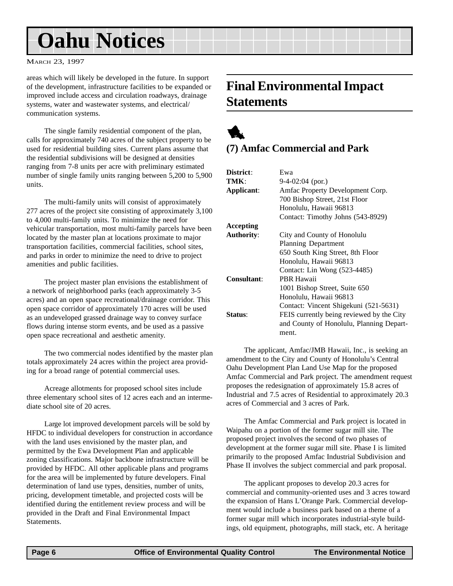## <span id="page-5-0"></span>**Oahu Notices**

#### MARCH 23, 1997

areas which will likely be developed in the future. In support of the development, infrastructure facilities to be expanded or improved include access and circulation roadways, drainage systems, water and wastewater systems, and electrical/ communication systems.

The single family residential component of the plan, calls for approximately 740 acres of the subject property to be used for residential building sites. Current plans assume that the residential subdivisions will be designed at densities ranging from 7-8 units per acre with preliminary estimated number of single family units ranging between 5,200 to 5,900 units.

The multi-family units will consist of approximately 277 acres of the project site consisting of approximately 3,100 to 4,000 multi-family units. To minimize the need for vehicular transportation, most multi-family parcels have been located by the master plan at locations proximate to major transportation facilities, commercial facilities, school sites, and parks in order to minimize the need to drive to project amenities and public facilities.

The project master plan envisions the establishment of a network of neighborhood parks (each approximately 3-5 acres) and an open space recreational/drainage corridor. This open space corridor of approximately 170 acres will be used as an undeveloped grassed drainage way to convey surface flows during intense storm events, and be used as a passive open space recreational and aesthetic amenity.

The two commercial nodes identified by the master plan totals approximately 24 acres within the project area providing for a broad range of potential commercial uses.

Acreage allotments for proposed school sites include three elementary school sites of 12 acres each and an intermediate school site of 20 acres.

Large lot improved development parcels will be sold by HFDC to individual developers for construction in accordance with the land uses envisioned by the master plan, and permitted by the Ewa Development Plan and applicable zoning classifications. Major backbone infrastructure will be provided by HFDC. All other applicable plans and programs for the area will be implemented by future developers. Final determination of land use types, densities, number of units, pricing, development timetable, and projected costs will be identified during the entitlement review process and will be provided in the Draft and Final Environmental Impact Statements.

### **Final Environmental Impact Statements**

### 1 **(7) Amfac Commercial and Park**

| District:         | Ewa                                       |
|-------------------|-------------------------------------------|
| TMK:              | $9-4-02:04$ (por.)                        |
| Applicant:        | Amfac Property Development Corp.          |
|                   | 700 Bishop Street, 21st Floor             |
|                   | Honolulu, Hawaii 96813                    |
|                   | Contact: Timothy Johns (543-8929)         |
| Accepting         |                                           |
| <b>Authority:</b> | City and County of Honolulu               |
|                   | <b>Planning Department</b>                |
|                   | 650 South King Street, 8th Floor          |
|                   | Honolulu, Hawaii 96813                    |
|                   | Contact: Lin Wong (523-4485)              |
| Consultant:       | PBR Hawaii                                |
|                   | 1001 Bishop Street, Suite 650             |
|                   | Honolulu, Hawaii 96813                    |
|                   | Contact: Vincent Shigekuni (521-5631)     |
| Status:           | FEIS currently being reviewed by the City |
|                   | and County of Honolulu, Planning Depart-  |
|                   | ment.                                     |
|                   |                                           |

The applicant, Amfac/JMB Hawaii, Inc., is seeking an amendment to the City and County of Honolulu's Central Oahu Development Plan Land Use Map for the proposed Amfac Commercial and Park project. The amendment request proposes the redesignation of approximately 15.8 acres of Industrial and 7.5 acres of Residential to approximately 20.3 acres of Commercial and 3 acres of Park.

The Amfac Commercial and Park project is located in Waipahu on a portion of the former sugar mill site. The proposed project involves the second of two phases of development at the former sugar mill site. Phase I is limited primarily to the proposed Amfac Industrial Subdivision and Phase II involves the subject commercial and park proposal.

The applicant proposes to develop 20.3 acres for commercial and community-oriented uses and 3 acres toward the expansion of Hans L'Orange Park. Commercial development would include a business park based on a theme of a former sugar mill which incorporates industrial-style buildings, old equipment, photographs, mill stack, etc. A heritage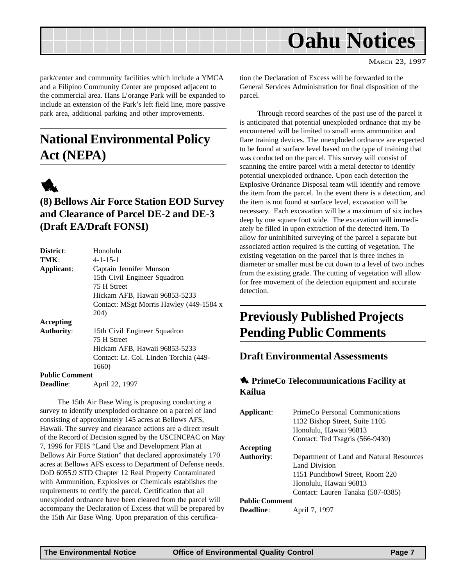<span id="page-6-0"></span>

MARCH 23, 1997

park/center and community facilities which include a YMCA and a Filipino Community Center are proposed adjacent to the commercial area. Hans L'orange Park will be expanded to include an extension of the Park's left field line, more passive park area, additional parking and other improvements.

### **National Environmental Policy Act (NEPA)**



#### **(8) Bellows Air Force Station EOD Survey and Clearance of Parcel DE-2 and DE-3 (Draft EA/Draft FONSI)**

| District:             | Honolulu                                |
|-----------------------|-----------------------------------------|
| TMK:                  | $4 - 1 - 15 - 1$                        |
| Applicant:            | Captain Jennifer Munson                 |
|                       | 15th Civil Engineer Squadron            |
|                       | 75 H Street                             |
|                       | Hickam AFB, Hawaii 96853-5233           |
|                       | Contact: MSgt Morris Hawley (449-1584 x |
|                       | 204)                                    |
| Accepting             |                                         |
| <b>Authority:</b>     | 15th Civil Engineer Squadron            |
|                       | 75 H Street                             |
|                       | Hickam AFB, Hawaii 96853-5233           |
|                       | Contact: Lt. Col. Linden Torchia (449-  |
|                       | 1660)                                   |
| <b>Public Comment</b> |                                         |
| <b>Deadline:</b>      | April 22, 1997                          |

The 15th Air Base Wing is proposing conducting a survey to identify unexploded ordnance on a parcel of land consisting of approximately 145 acres at Bellows AFS, Hawaii. The survey and clearance actions are a direct result of the Record of Decision signed by the USCINCPAC on May 7, 1996 for FEIS "Land Use and Development Plan at Bellows Air Force Station" that declared approximately 170 acres at Bellows AFS excess to Department of Defense needs. DoD 6055.9 STD Chapter 12 Real Property Contaminated with Ammunition, Explosives or Chemicals establishes the requirements to certify the parcel. Certification that all unexploded ordnance have been cleared from the parcel will accompany the Declaration of Excess that will be prepared by the 15th Air Base Wing. Upon preparation of this certification the Declaration of Excess will be forwarded to the General Services Administration for final disposition of the parcel.

Through record searches of the past use of the parcel it is anticipated that potential unexploded ordnance that my be encountered will be limited to small arms ammunition and flare training devices. The unexploded ordnance are expected to be found at surface level based on the type of training that was conducted on the parcel. This survey will consist of scanning the entire parcel with a metal detector to identify potential unexploded ordnance. Upon each detection the Explosive Ordnance Disposal team will identify and remove the item from the parcel. In the event there is a detection, and the item is not found at surface level, excavation will be necessary. Each excavation will be a maximum of six inches deep by one square foot wide. The excavation will immediately be filled in upon extraction of the detected item. To allow for uninhibited surveying of the parcel a separate but associated action required is the cutting of vegetation. The existing vegetation on the parcel that is three inches in diameter or smaller must be cut down to a level of two inches from the existing grade. The cutting of vegetation will allow for free movement of the detection equipment and accurate detection.

### **Previously Published Projects Pending Public Comments**

#### **Draft Environmental Assessments**

#### **1** PrimeCo Telecommunications Facility at **Kailua**

| Applicant:            | PrimeCo Personal Communications          |
|-----------------------|------------------------------------------|
|                       | 1132 Bishop Street, Suite 1105           |
|                       | Honolulu, Hawaii 96813                   |
|                       | Contact: Ted Tsagris (566-9430)          |
| Accepting             |                                          |
| <b>Authority:</b>     | Department of Land and Natural Resources |
|                       | Land Division                            |
|                       | 1151 Punchbowl Street, Room 220          |
|                       | Honolulu, Hawaii 96813                   |
|                       | Contact: Lauren Tanaka (587-0385)        |
| <b>Public Comment</b> |                                          |
| <b>Deadline:</b>      | April 7, 1997                            |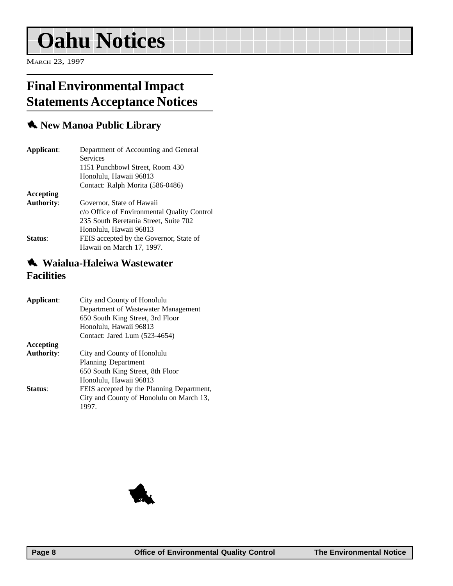## <span id="page-7-0"></span>**Oahu Notices**

MARCH 23, 1997

### **Final Environmental Impact Statements Acceptance Notices**

#### 1 **New Manoa Public Library**

| Applicant:        | Department of Accounting and General        |
|-------------------|---------------------------------------------|
|                   | <b>Services</b>                             |
|                   | 1151 Punchbowl Street, Room 430             |
|                   | Honolulu, Hawaii 96813                      |
|                   | Contact: Ralph Morita (586-0486)            |
| Accepting         |                                             |
| <b>Authority:</b> | Governor, State of Hawaii                   |
|                   | c/o Office of Environmental Quality Control |
|                   | 235 South Beretania Street, Suite 702       |
|                   | Honolulu, Hawaii 96813                      |
| Status:           | FEIS accepted by the Governor, State of     |
|                   | Hawaii on March 17, 1997.                   |

#### **1** Waialua-Haleiwa Wastewater **Facilities**

| City and County of Honolulu               |
|-------------------------------------------|
| Department of Wastewater Management       |
| 650 South King Street, 3rd Floor          |
| Honolulu, Hawaii 96813                    |
| Contact: Jared Lum (523-4654)             |
|                                           |
| City and County of Honolulu               |
| <b>Planning Department</b>                |
| 650 South King Street, 8th Floor          |
| Honolulu, Hawaii 96813                    |
| FEIS accepted by the Planning Department, |
| City and County of Honolulu on March 13,  |
| 1997.                                     |
|                                           |

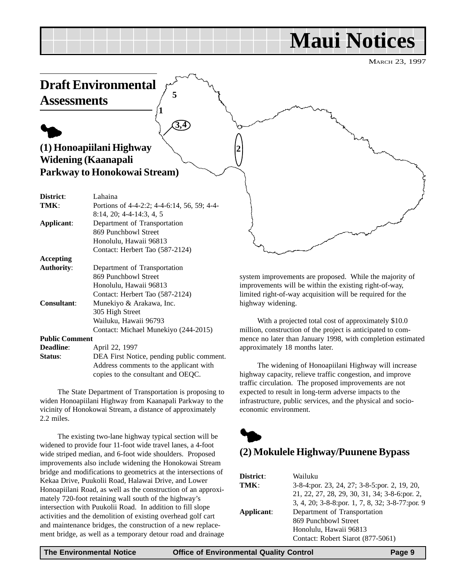## **Maui Notices**

MARCH 23, 1997

<span id="page-8-0"></span>

With a projected total cost of approximately \$10.0 million, construction of the project is anticipated to commence no later than January 1998, with completion estimated approximately 18 months later.

The widening of Honoapiilani Highway will increase highway capacity, relieve traffic congestion, and improve traffic circulation. The proposed improvements are not expected to result in long-term adverse impacts to the infrastructure, public services, and the physical and socioeconomic environment.



| District:  | Wailuku                                         |
|------------|-------------------------------------------------|
| TMK:       | 3-8-4: por. 23, 24, 27; 3-8-5: por. 2, 19, 20,  |
|            | 21, 22, 27, 28, 29, 30, 31, 34; 3-8-6: por. 2,  |
|            | 3, 4, 20; 3-8-8:por. 1, 7, 8, 32; 3-8-77:por. 9 |
| Applicant: | Department of Transportation                    |
|            | 869 Punchbowl Street                            |
|            | Honolulu, Hawaii 96813                          |
|            | Contact: Robert Siarot (877-5061)               |

Wailuku, Hawaii 96793

**Status**: DEA First Notice, pending public comment.

The State Department of Transportation is proposing to widen Honoapiilani Highway from Kaanapali Parkway to the vicinity of Honokowai Stream, a distance of approximately

The existing two-lane highway typical section will be widened to provide four 11-foot wide travel lanes, a 4-foot wide striped median, and 6-foot wide shoulders. Proposed improvements also include widening the Honokowai Stream bridge and modifications to geometrics at the intersections of Kekaa Drive, Puukolii Road, Halawai Drive, and Lower Honoapiilani Road, as well as the construction of an approximately 720-foot retaining wall south of the highway's intersection with Puukolii Road. In addition to fill slope activities and the demolition of existing overhead golf cart and maintenance bridges, the construction of a new replacement bridge, as well as a temporary detour road and drainage

**Public Comment**

2.2 miles.

**Deadline**: **April 22, 1997** 

Contact: Michael Munekiyo (244-2015)

Address comments to the applicant with copies to the consultant and OEQC.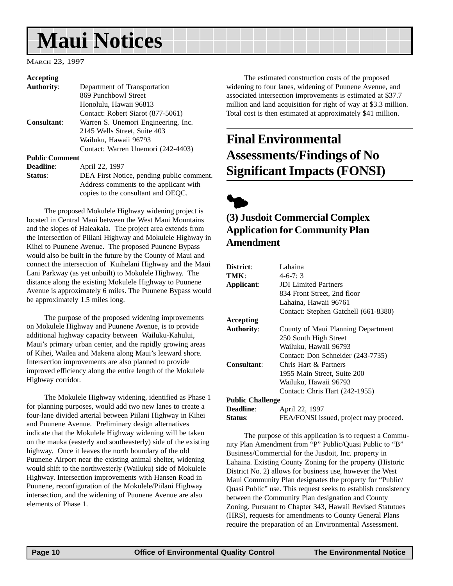## <span id="page-9-0"></span>**Maui Notices**

MARCH 23, 1997

#### **Accepting**

| <b>Authority:</b>     | Department of Transportation              |
|-----------------------|-------------------------------------------|
|                       | 869 Punchbowl Street                      |
|                       | Honolulu, Hawaii 96813                    |
|                       | Contact: Robert Siarot (877-5061)         |
| Consultant:           | Warren S. Unemori Engineering, Inc.       |
|                       | 2145 Wells Street, Suite 403              |
|                       | Wailuku, Hawaii 96793                     |
|                       | Contact: Warren Unemori (242-4403)        |
| <b>Public Comment</b> |                                           |
| <b>Deadline:</b>      | April 22, 1997                            |
| Status:               | DEA First Notice, pending public comment. |
|                       | Address comments to the applicant with    |
|                       | copies to the consultant and OEQC.        |

The proposed Mokulele Highway widening project is located in Central Maui between the West Maui Mountains and the slopes of Haleakala. The project area extends from the intersection of Piilani Highway and Mokulele Highway in Kihei to Puunene Avenue. The proposed Puunene Bypass would also be built in the future by the County of Maui and connect the intersection of Kuihelani Highway and the Maui Lani Parkway (as yet unbuilt) to Mokulele Highway. The distance along the existing Mokulele Highway to Puunene Avenue is approximately 6 miles. The Puunene Bypass would be approximately 1.5 miles long.

The purpose of the proposed widening improvements on Mokulele Highway and Puunene Avenue, is to provide additional highway capacity between Wailuku-Kahului, Maui's primary urban center, and the rapidly growing areas of Kihei, Wailea and Makena along Maui's leeward shore. Intersection improvements are also planned to provide improved efficiency along the entire length of the Mokulele Highway corridor.

The Mokulele Highway widening, identified as Phase 1 for planning purposes, would add two new lanes to create a four-lane divided arterial between Piilani Highway in Kihei and Puunene Avenue. Preliminary design alternatives indicate that the Mokulele Highway widening will be taken on the mauka (easterly and southeasterly) side of the existing highway. Once it leaves the north boundary of the old Puunene Airport near the existing animal shelter, widening would shift to the northwesterly (Wailuku) side of Mokulele Highway. Intersection improvements with Hansen Road in Puunene, reconfiguration of the Mokulele/Piilani Highway intersection, and the widening of Puunene Avenue are also elements of Phase 1.

The estimated construction costs of the proposed widening to four lanes, widening of Puunene Avenue, and associated intersection improvements is estimated at \$37.7 million and land acquisition for right of way at \$3.3 million. Total cost is then estimated at approximately \$41 million.

### **Final Environmental Assessments/Findings of No Significant Impacts (FONSI)**



#### **(3) Jusdoit Commercial Complex Application for Community Plan Amendment**

| District:               | Lahaina                                |
|-------------------------|----------------------------------------|
| TMK:                    | $4-6-7:3$                              |
| Applicant:              | <b>JDI</b> Limited Partners            |
|                         | 834 Front Street, 2nd floor            |
|                         | Lahaina, Hawaii 96761                  |
|                         | Contact: Stephen Gatchell (661-8380)   |
| <b>Accepting</b>        |                                        |
| <b>Authority:</b>       | County of Maui Planning Department     |
|                         | 250 South High Street                  |
|                         | Wailuku, Hawaii 96793                  |
|                         | Contact: Don Schneider (243-7735)      |
| Consultant:             | Chris Hart & Partners                  |
|                         | 1955 Main Street, Suite 200            |
|                         | Wailuku, Hawaii 96793                  |
|                         | Contact: Chris Hart (242-1955)         |
| <b>Public Challenge</b> |                                        |
| <b>Deadline:</b>        | April 22, 1997                         |
| Status:                 | FEA/FONSI issued, project may proceed. |

The purpose of this application is to request a Community Plan Amendment from "P" Public/Quasi Public to "B" Business/Commercial for the Jusdoit, Inc. property in Lahaina. Existing County Zoning for the property (Historic District No. 2) allows for business use, however the West Maui Community Plan designates the property for "Public/ Quasi Public" use. This request seeks to establish consistency between the Community Plan designation and County Zoning. Pursuant to Chapter 343, Hawaii Revised Statutues (HRS), requests for amendments to County General Plans require the preparation of an Environmental Assessment.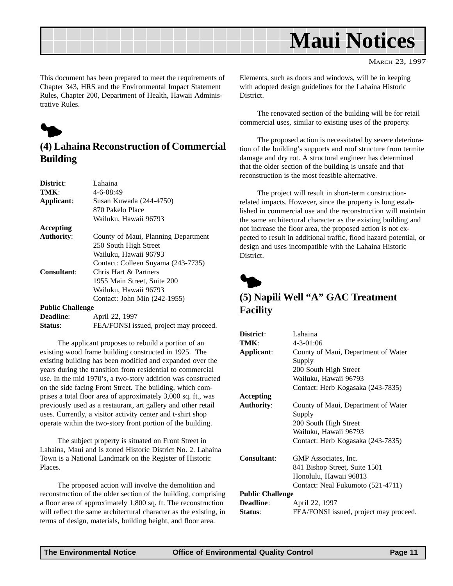<span id="page-10-0"></span>

MARCH 23, 1997

This document has been prepared to meet the requirements of Chapter 343, HRS and the Environmental Impact Statement Rules, Chapter 200, Department of Health, Hawaii Administrative Rules.



#### **(4) Lahaina Reconstruction of Commercial Building**

| District:               | Lahaina                                |
|-------------------------|----------------------------------------|
| TMK:                    | $4 - 6 - 08:49$                        |
| Applicant:              | Susan Kuwada (244-4750)                |
|                         | 870 Pakelo Place                       |
|                         | Wailuku, Hawaii 96793                  |
| Accepting               |                                        |
| <b>Authority:</b>       | County of Maui, Planning Department    |
|                         | 250 South High Street                  |
|                         | Wailuku, Hawaii 96793                  |
|                         | Contact: Colleen Suyama (243-7735)     |
| <b>Consultant:</b>      | Chris Hart & Partners                  |
|                         | 1955 Main Street, Suite 200            |
|                         | Wailuku, Hawaii 96793                  |
|                         | Contact: John Min (242-1955)           |
| <b>Public Challenge</b> |                                        |
| Deadline:               | April 22, 1997                         |
| Status:                 | FEA/FONSI issued, project may proceed. |

The applicant proposes to rebuild a portion of an existing wood frame building constructed in 1925. The existing building has been modified and expanded over the years during the transition from residential to commercial use. In the mid 1970's, a two-story addition was constructed on the side facing Front Street. The building, which comprises a total floor area of approximately 3,000 sq. ft., was previously used as a restaurant, art gallery and other retail uses. Currently, a visitor activity center and t-shirt shop operate within the two-story front portion of the building.

The subject property is situated on Front Street in Lahaina, Maui and is zoned Historic District No. 2. Lahaina Town is a National Landmark on the Register of Historic Places.

The proposed action will involve the demolition and reconstruction of the older section of the building, comprising a floor area of approximately 1,800 sq. ft. The reconstruction will reflect the same architectural character as the existing, in terms of design, materials, building height, and floor area.

Elements, such as doors and windows, will be in keeping with adopted design guidelines for the Lahaina Historic District.

The renovated section of the building will be for retail commercial uses, similar to existing uses of the property.

The proposed action is necessitated by severe deterioration of the building's supports and roof structure from termite damage and dry rot. A structural engineer has determined that the older section of the building is unsafe and that reconstruction is the most feasible alternative.

The project will result in short-term constructionrelated impacts. However, since the property is long established in commercial use and the reconstruction will maintain the same architectural character as the existing building and not increase the floor area, the proposed action is not expected to result in additional traffic, flood hazard potential, or design and uses incompatible with the Lahaina Historic District.



#### **(5) Napili Well "A" GAC Treatment Facility**

| District:               | Lahaina                                |
|-------------------------|----------------------------------------|
| TMK:                    | $4 - 3 - 01:06$                        |
| Applicant:              | County of Maui, Department of Water    |
|                         | Supply                                 |
|                         | 200 South High Street                  |
|                         | Wailuku, Hawaii 96793                  |
|                         | Contact: Herb Kogasaka (243-7835)      |
| Accepting               |                                        |
| <b>Authority:</b>       | County of Maui, Department of Water    |
|                         | Supply                                 |
|                         | 200 South High Street                  |
|                         | Wailuku, Hawaii 96793                  |
|                         | Contact: Herb Kogasaka (243-7835)      |
| <b>Consultant:</b>      | GMP Associates, Inc.                   |
|                         | 841 Bishop Street, Suite 1501          |
|                         | Honolulu, Hawaii 96813                 |
|                         | Contact: Neal Fukumoto (521-4711)      |
| <b>Public Challenge</b> |                                        |
| <b>Deadline:</b>        | April 22, 1997                         |
| Status:                 | FEA/FONSI issued, project may proceed. |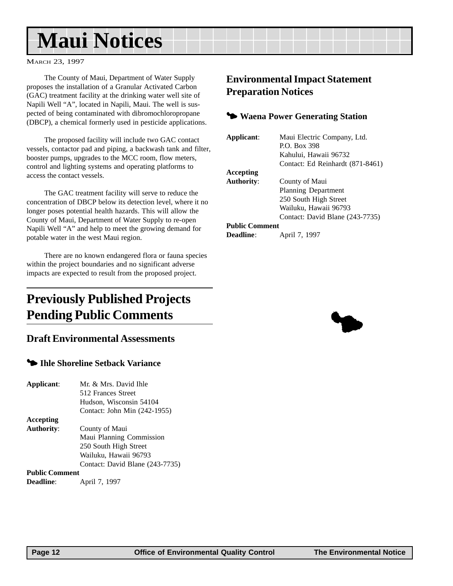## <span id="page-11-0"></span>**Maui Notices**

MARCH 23, 1997

The County of Maui, Department of Water Supply proposes the installation of a Granular Activated Carbon (GAC) treatment facility at the drinking water well site of Napili Well "A", located in Napili, Maui. The well is suspected of being contaminated with dibromochloropropane (DBCP), a chemical formerly used in pesticide applications.

The proposed facility will include two GAC contact vessels, contactor pad and piping, a backwash tank and filter, booster pumps, upgrades to the MCC room, flow meters, control and lighting systems and operating platforms to access the contact vessels.

The GAC treatment facility will serve to reduce the concentration of DBCP below its detection level, where it no longer poses potential health hazards. This will allow the County of Maui, Department of Water Supply to re-open Napili Well "A" and help to meet the growing demand for potable water in the west Maui region.

There are no known endangered flora or fauna species within the project boundaries and no significant adverse impacts are expected to result from the proposed project.

### **Previously Published Projects Pending Public Comments**

#### **Draft Environmental Assessments**

#### **<sup>4</sup> Ihle Shoreline Setback Variance**

| Applicant:            | Mr. & Mrs. David Ihle           |
|-----------------------|---------------------------------|
|                       | 512 Frances Street              |
|                       | Hudson, Wisconsin 54104         |
|                       | Contact: John Min (242-1955)    |
| Accepting             |                                 |
| <b>Authority:</b>     | County of Maui                  |
|                       | Maui Planning Commission        |
|                       | 250 South High Street           |
|                       | Wailuku, Hawaii 96793           |
|                       | Contact: David Blane (243-7735) |
| <b>Public Comment</b> |                                 |
| <b>Deadline:</b>      | April 7, 1997                   |

#### **Environmental Impact Statement Preparation Notices**

#### 3 **Waena Power Generating Station**

| Applicant:            | Maui Electric Company, Ltd.<br>P.O. Box 398 |
|-----------------------|---------------------------------------------|
|                       | Kahului, Hawaii 96732                       |
|                       |                                             |
|                       | Contact: Ed Reinhardt (871-8461)            |
| Accepting             |                                             |
| <b>Authority:</b>     | County of Maui                              |
|                       | Planning Department                         |
|                       | 250 South High Street                       |
|                       | Wailuku, Hawaii 96793                       |
|                       | Contact: David Blane (243-7735)             |
| <b>Public Comment</b> |                                             |
| <b>Deadline:</b>      | April 7, 1997                               |

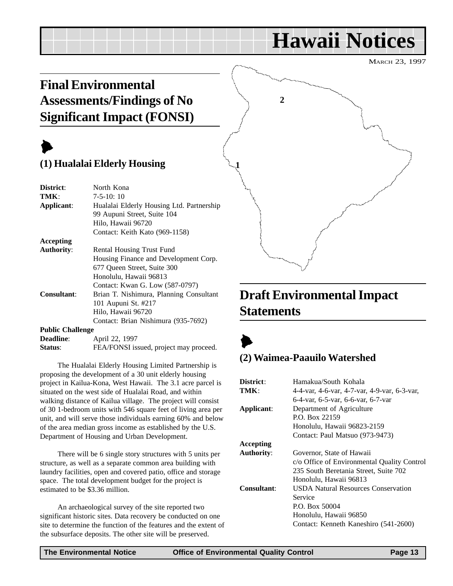## **Hawaii Notices**

MARCH 23, 1997

### <span id="page-12-0"></span>**Final Environmental Assessments/Findings of No Significant Impact (FONSI)**

### $\blacktriangleright$

#### **(1) Hualalai Elderly Housing**

| District:               | North Kona                                |
|-------------------------|-------------------------------------------|
| TMK:                    | $7-5-10:10$                               |
| Applicant:              | Hualalai Elderly Housing Ltd. Partnership |
|                         | 99 Aupuni Street, Suite 104               |
|                         | Hilo, Hawaii 96720                        |
|                         | Contact: Keith Kato (969-1158)            |
| <b>Accepting</b>        |                                           |
| <b>Authority:</b>       | Rental Housing Trust Fund                 |
|                         | Housing Finance and Development Corp.     |
|                         | 677 Oueen Street, Suite 300               |
|                         | Honolulu, Hawaii 96813                    |
|                         | Contact: Kwan G. Low (587-0797)           |
| <b>Consultant:</b>      | Brian T. Nishimura, Planning Consultant   |
|                         | 101 Aupuni St. #217                       |
|                         | Hilo, Hawaii 96720                        |
|                         | Contact: Brian Nishimura (935-7692)       |
| <b>Public Challenge</b> |                                           |

| <b>Deadline:</b> | April 22, 1997                         |
|------------------|----------------------------------------|
| Status:          | FEA/FONSI issued, project may proceed. |

The Hualalai Elderly Housing Limited Partnership is proposing the development of a 30 unit elderly housing project in Kailua-Kona, West Hawaii. The 3.1 acre parcel is situated on the west side of Hualalai Road, and within walking distance of Kailua village. The project will consist of 30 1-bedroom units with 546 square feet of living area per unit, and will serve those individuals earning 60% and below of the area median gross income as established by the U.S. Department of Housing and Urban Development.

There will be 6 single story structures with 5 units per structure, as well as a separate common area building with laundry facilities, open and covered patio, office and storage space. The total development budget for the project is estimated to be \$3.36 million.

An archaeological survey of the site reported two significant historic sites. Data recovery be conducted on one site to determine the function of the features and the extent of the subsurface deposits. The other site will be preserved.



### **Draft Environmental Impact Statements**

### $\blacktriangleright$

#### **(2) Waimea-Paauilo Watershed**

| District:         | Hamakua/South Kohala                         |
|-------------------|----------------------------------------------|
| TMK:              | 4-4-var, 4-6-var, 4-7-var, 4-9-var, 6-3-var, |
|                   | 6-4-var. 6-5-var. 6-6-var. 6-7-var           |
| Applicant:        | Department of Agriculture                    |
|                   | P.O. Box 22159                               |
|                   | Honolulu, Hawaii 96823-2159                  |
|                   | Contact: Paul Matsuo (973-9473)              |
| Accepting         |                                              |
| <b>Authority:</b> | Governor, State of Hawaii                    |
|                   | c/o Office of Environmental Quality Control  |
|                   | 235 South Beretania Street, Suite 702        |
|                   | Honolulu, Hawaii 96813                       |
| Consultant:       | <b>USDA Natural Resources Conservation</b>   |
|                   | Service                                      |
|                   | P.O. Box 50004                               |
|                   | Honolulu, Hawaii 96850                       |
|                   | Contact: Kenneth Kaneshiro (541-2600)        |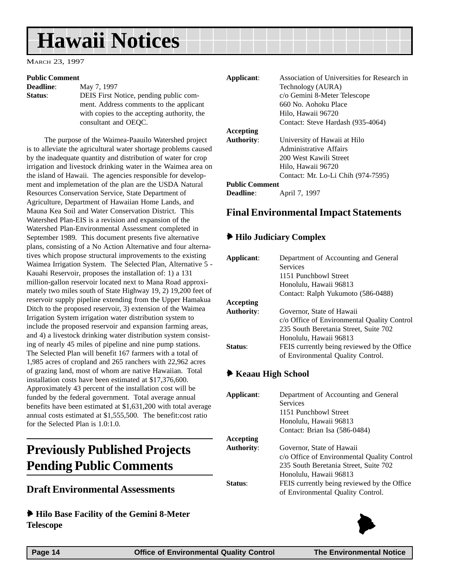## <span id="page-13-0"></span>**Hawaii Notices**

MARCH 23, 1997

#### **Public Comment**

**Deadline:** May 7, 1997 **Status**: DEIS First Notice, pending public comment. Address comments to the applicant with copies to the accepting authority, the consultant and OEQC.

The purpose of the Waimea-Paauilo Watershed project is to alleviate the agricultural water shortage problems caused by the inadequate quantity and distribution of water for crop irrigation and livestock drinking water in the Waimea area on the island of Hawaii. The agencies responsible for development and implemetation of the plan are the USDA Natural Resources Conservation Service, State Department of Agriculture, Department of Hawaiian Home Lands, and Mauna Kea Soil and Water Conservation District. This Watershed Plan-EIS is a revision and expansion of the Watershed Plan-Environmental Assessment completed in September 1989. This document presents five alternative plans, consisting of a No Action Alternative and four alternatives which propose structural improvements to the existing Waimea Irrigation System. The Selected Plan, Alternative 5 - Kauahi Reservoir, proposes the installation of: 1) a 131 million-gallon reservoir located next to Mana Road approximately two miles south of State Highway 19, 2) 19,200 feet of reservoir supply pipeline extending from the Upper Hamakua Ditch to the proposed reservoir, 3) extension of the Waimea Irrigation System irrigation water distribution system to include the proposed reservoir and expansion farming areas, and 4) a livestock drinking water distribution system consisting of nearly 45 miles of pipeline and nine pump stations. The Selected Plan will benefit 167 farmers with a total of 1,985 acres of cropland and 265 ranchers with 22,962 acres of grazing land, most of whom are native Hawaiian. Total installation costs have been estimated at \$17,376,600. Approximately 43 percent of the installation cost will be funded by the federal government. Total average annual benefits have been estimated at \$1,631,200 with total average annual costs estimated at \$1,555,500. The benefit:cost ratio for the Selected Plan is 1.0:1.0.

### **Previously Published Projects Pending Public Comments**

#### **Draft Environmental Assessments**

6 **Hilo Base Facility of the Gemini 8-Meter Telescope**

| Applicant:            | Association of Universities for Research in |
|-----------------------|---------------------------------------------|
|                       | Technology (AURA)                           |
|                       | c/o Gemini 8-Meter Telescope                |
|                       | 660 No. Aohoku Place                        |
|                       | Hilo, Hawaii 96720                          |
|                       | Contact: Steve Hardash (935-4064)           |
| Accepting             |                                             |
| <b>Authority:</b>     | University of Hawaii at Hilo                |
|                       | Administrative Affairs                      |
|                       | 200 West Kawili Street                      |
|                       | Hilo, Hawaii 96720                          |
|                       | Contact: Mr. Lo-Li Chih (974-7595)          |
| <b>Public Comment</b> |                                             |
|                       |                                             |

**Deadline**: **April 7, 1997** 

#### **Final Environmental Impact Statements**

#### 6 **Hilo Judiciary Complex**

| Applicant:        | Department of Accounting and General        |
|-------------------|---------------------------------------------|
|                   | Services                                    |
|                   | 1151 Punchbowl Street                       |
|                   | Honolulu, Hawaii 96813                      |
|                   | Contact: Ralph Yukumoto (586-0488)          |
| Accepting         |                                             |
| <b>Authority:</b> | Governor, State of Hawaii                   |
|                   | c/o Office of Environmental Quality Control |
|                   | 235 South Beretania Street, Suite 702       |
|                   | Honolulu, Hawaii 96813                      |
| <b>Status:</b>    | FEIS currently being reviewed by the Office |
|                   | of Environmental Quality Control.           |

#### 6 **Keaau High School**

| Department of Accounting and General        |
|---------------------------------------------|
| <b>Services</b>                             |
| 1151 Punchbowl Street                       |
| Honolulu, Hawaii 96813                      |
| Contact: Brian Isa (586-0484)               |
|                                             |
| Governor, State of Hawaii                   |
| c/o Office of Environmental Quality Control |
| 235 South Beretania Street, Suite 702       |
| Honolulu, Hawaii 96813                      |
| FEIS currently being reviewed by the Office |
| of Environmental Quality Control.           |
|                                             |

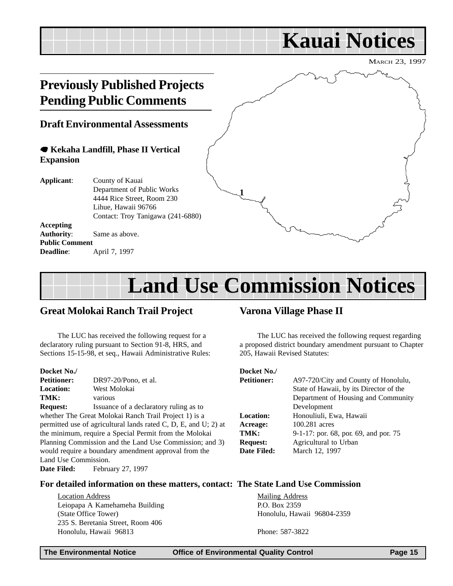### <span id="page-14-0"></span>MARCH 23, 1997 **Kauai Notices Previously Published Projects Pending Public Comments Draft Environmental Assessments** 7 **Kekaha Landfill, Phase II Vertical Expansion Applicant**: County of Kauai Department of Public Works 4444 Rice Street, Room 230 Lihue, Hawaii 96766 Contact: Troy Tanigawa (241-6880) **Accepting Authority**: Same as above. **Public Comment Deadline**: **April 7, 1997 1**

## **Land Use Commission Notices**

#### **Great Molokai Ranch Trail Project**

The LUC has received the following request for a declaratory ruling pursuant to Section 91-8, HRS, and Sections 15-15-98, et seq., Hawaii Administrative Rules:

**Docket No./ Petitioner:** DR97-20/Pono, et al. **Location:** West Molokai **TMK:** various **Request:** Issuance of a declaratory ruling as to whether The Great Molokai Ranch Trail Project 1) is a permitted use of agricultural lands rated C, D, E, and U; 2) at the minimum, require a Special Permit from the Molokai Planning Commission and the Land Use Commission; and 3) would require a boundary amendment approval from the Land Use Commission. Date Filed: February 27, 1997

#### **Varona Village Phase II**

The LUC has received the following request regarding a proposed district boundary amendment pursuant to Chapter 205, Hawaii Revised Statutes:

#### **Docket No./**

| <b>Petitioner:</b> | A97-720/City and County of Honolulu,    |
|--------------------|-----------------------------------------|
|                    | State of Hawaii, by its Director of the |
|                    | Department of Housing and Community     |
|                    | Development                             |
| <b>Location:</b>   | Honouliuli, Ewa, Hawaii                 |
| Acreage:           | 100.281 acres                           |
| TMK:               | 9-1-17: por. 68, por. 69, and por. 75   |
| <b>Request:</b>    | Agricultural to Urban                   |
| Date Filed:        | March 12, 1997                          |

#### **For detailed information on these matters, contact: The State Land Use Commission**

Location Address Leiopapa A Kamehameha Building (State Office Tower) 235 S. Beretania Street, Room 406 Honolulu, Hawaii 96813

Mailing Address P.O. Box 2359 Honolulu, Hawaii 96804-2359

Phone: 587-3822

**The Environmental Notice Office of Environmental Quality Control Page 15**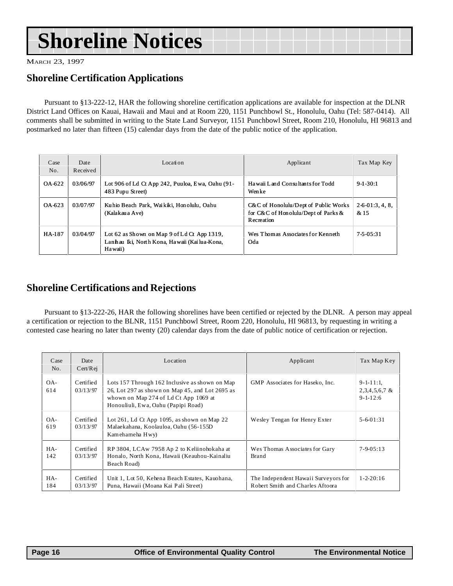## <span id="page-15-0"></span>**Shoreline Notices**

MARCH 23, 1997

#### **Shoreline Certification Applications**

Pursuant to §13-222-12, HAR the following shoreline certification applications are available for inspection at the DLNR District Land Offices on Kauai, Hawaii and Maui and at Room 220, 1151 Punchbowl St., Honolulu, Oahu (Tel: 587-0414). All comments shall be submitted in writing to the State Land Surveyor, 1151 Punchbowl Street, Room 210, Honolulu, HI 96813 and postmarked no later than fifteen (15) calendar days from the date of the public notice of the application.

| Case<br>No. | Date<br>Received | Location                                                                                                | Applicant                                                                                   | Tax Map Key           |
|-------------|------------------|---------------------------------------------------------------------------------------------------------|---------------------------------------------------------------------------------------------|-----------------------|
| OA-622      | 03/06/97         | Lot 906 of Ld Ct App 242, Puuloa, Ewa, Oahu (91-<br>483 Pupu Street)                                    | Hawaii Land Consultants for Todd<br>Wenke                                                   | $9-1-30:1$            |
| OA -623     | 03/07/97         | Kuhio Beach Park, Waikiki, Honolulu, Oahu<br>(Kalakau a Ave)                                            | $C&C$ of Honolulu/Dept of Public Works<br>for C&C of Honolulu/Dept of Parks &<br>Recreation | $2-6-01:3,4,8$<br>&15 |
| HA-187      | 03/04/97         | Lot 62 as Shown on Map 9 of Ld Ct App 1319,<br>Lanhau Iki, North Kona, Hawaii (Kailua-Kona,<br>Ha waii) | Wes Thomas Associates for Kenneth<br>Oda                                                    | 7-5-05:31             |

#### **Shoreline Certifications and Rejections**

Pursuant to §13-222-26, HAR the following shorelines have been certified or rejected by the DLNR. A person may appeal a certification or rejection to the BLNR, 1151 Punchbowl Street, Room 220, Honolulu, HI 96813, by requesting in writing a contested case hearing no later than twenty (20) calendar days from the date of public notice of certification or rejection.

| Case<br>No. | Date<br>Cert/Rej      | Location                                                                                                                                                                          | Applicant                                                                | Tax Map Key                                           |
|-------------|-----------------------|-----------------------------------------------------------------------------------------------------------------------------------------------------------------------------------|--------------------------------------------------------------------------|-------------------------------------------------------|
| OA-<br>614  | Certified<br>03/13/97 | Lots 157 Through 162 Inclusive as shown on Map<br>26, Lot 297 as shown on Map 45, and Lot 2695 as<br>whown on Map 274 of Ld Ct App 1069 at<br>Honouliuli, Ewa, Oahu (Papipi Road) | GMP Associates for Haseko, Inc.                                          | $9 - 1 - 11$ :1,<br>$2,3,4,5,6,7$ &<br>$9 - 1 - 12:6$ |
| OA-<br>619  | Certified<br>03/13/97 | Lot 261, Ld Ct App 1095, as shown on Map 22<br>Malaekahana, Koolauloa, Oahu (56-155D)<br>Kamehameha Hwy)                                                                          | Wesley Tengan for Henry Exter                                            | $5 - 6 - 01 : 31$                                     |
| HA-<br>142  | Certified<br>03/13/97 | RP 3804, LCAw 7958 Ap 2 to Keliinohokaha at<br>Honalo, North Kona, Hawaii (Keauhou-Kainaliu<br>Beach Road)                                                                        | Wes Thomas Associates for Gary<br>Brand                                  | $7 - 9 - 0.5 : 1.3$                                   |
| HA-<br>184  | Certified<br>03/13/97 | Unit 1, Lot 50, Kehena Beach Estates, Kauohana,<br>Puna, Hawaii (Moana Kai Pali Street)                                                                                           | The Independent Hawaii Surveyors for<br>Robert Smith and Charles Aftoora | $1 - 2 - 20:16$                                       |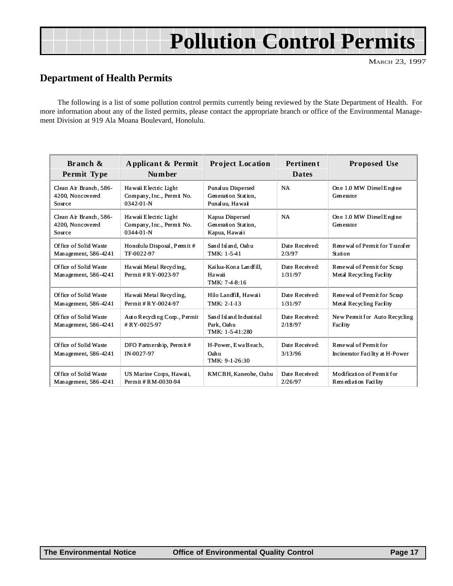## **Pollution Control Permits**

#### <span id="page-16-0"></span>**Department of Health Permits**

The following is a list of some pollution control permits currently being reviewed by the State Department of Health. For more information about any of the listed permits, please contact the appropriate branch or office of the Environmental Management Division at 919 Ala Moana Boulevard, Honolulu.

| Branch &<br>Permit Type                              | Applicant & Permit<br>Num ber                                         | <b>Project Location</b>                                    | <b>Pertinent</b><br><b>Dates</b> | <b>Proposed Use</b>                                       |
|------------------------------------------------------|-----------------------------------------------------------------------|------------------------------------------------------------|----------------------------------|-----------------------------------------------------------|
| Clean Air Branch, 586-<br>4200, Noncovered<br>Source | Hawaii Electric Light<br>Company, Inc., Permit No.<br>$0342 - 01 - N$ | Punaluu Dispersed<br>Generation Station.<br>Punaluu, Hawai | <b>NA</b>                        | One 1.0 MW Diesel Engine<br>Generator                     |
| Clean Air Branch, 586-<br>4200. Noncovered<br>Source | Hawaii Electric Light<br>Company, Inc., Permit No.<br>$0344-01-N$     | Kapua Dispersed<br>Generation Station,<br>Kapua, Hawaii    | <b>NA</b>                        | One 1.0 MW DieselEngine<br>Generator                      |
| Office of Solid Waste<br>Management, 586-4241        | Honolulu Disposal, Permit#<br>TF-0022-97                              | Sand Island, Oahu<br>TMK: 1-5-41                           | Date Received:<br>2/3/97         | Rene wal of Permit for Transfer<br>Station                |
| Of fice of Solid Waste<br>Management, 586-4241       | Hawaii Metal Recycling,<br>Permit # R Y-0023-97                       | Kai lua-Kon a Lan df ill.<br>Hawaii<br>TMK: 7-4-8:16       | Date Received:<br>1/31/97        | Renewal of Permit for Scrap<br>Metal Recycling Facility   |
| Of fice of Solid Waste<br>Management, 586-4241       | Hawaii Metal Recycling,<br>Permit # R Y-0024-97                       | Hilo Landfil, Hawaii<br>$TMK: 2-1-13$                      | Date Received:<br>1/31/97        | Renewal of Permit for Scrap<br>Metal Recycling Facility   |
| Of fice of Solid Waste<br>Management, 586-4241       | Auto Recycling Corp., Permit<br>#RY-0025-97                           | Sand Island Industrial<br>Park, Oahu<br>TMK: 1-5-41:280    | Date Received:<br>2/18/97        | New Permit for Auto Recycling<br>Facility                 |
| Office of Solid Waste<br>Management, 586-4241        | DFO Partnership, Permit#<br>IN-0027-97                                | H-Power, EwaBeach,<br>Oahu<br>TMK: 9-1-26:30               | Date Received:<br>3/13/96        | Rene wal of Permit for<br>Incinerator Facility at H-Power |
| Office of Solid Waste<br>Management, 586-4241        | US Marine Corps, Hawaii,<br>Permit # R M-0030-94                      | KMCBH, Kaneohe, Oahu                                       | Date Received:<br>2/26/97        | Modification of Permit for<br>Remediation Facility        |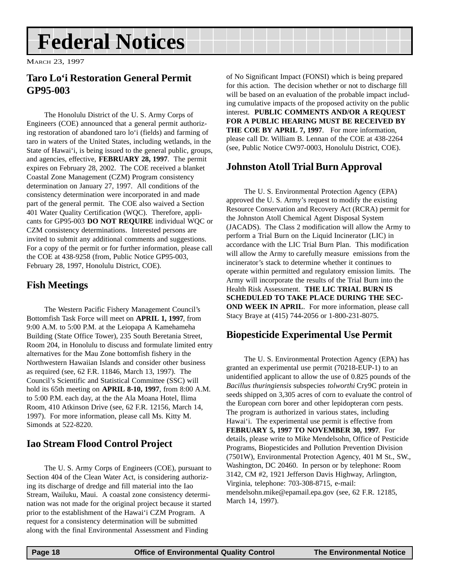## <span id="page-17-0"></span>**Federal Notices**

MARCH 23, 1997

#### **Taro Lo'i Restoration General Permit GP95-003**

The Honolulu District of the U. S. Army Corps of Engineers (COE) announced that a general permit authorizing restoration of abandoned taro lo'i (fields) and farming of taro in waters of the United States, including wetlands, in the State of Hawai'i, is being issued to the general public, groups, and agencies, effective, **FEBRUARY 28, 1997**. The permit expires on February 28, 2002. The COE received a blanket Coastal Zone Management (CZM) Program consistency determination on January 27, 1997. All conditions of the consistency determination were incorporated in and made part of the general permit. The COE also waived a Section 401 Water Quality Certification (WQC). Therefore, applicants for GP95-003 **DO NOT REQUIRE** individual WQC or CZM consistency determinations. Interested persons are invited to submit any additional comments and suggestions. For a copy of the permit or for further information, please call the COE at 438-9258 (from, Public Notice GP95-003, February 28, 1997, Honolulu District, COE).

#### **Fish Meetings**

The Western Pacific Fishery Management Council's Bottomfish Task Force will meet on **APRIL 1, 1997**, from 9:00 A.M. to 5:00 P.M. at the Leiopapa A Kamehameha Building (State Office Tower), 235 South Beretania Street, Room 204, in Honolulu to discuss and formulate limited entry alternatives for the Mau Zone bottomfish fishery in the Northwestern Hawaiian Islands and consider other business as required (see, 62 F.R. 11846, March 13, 1997). The Council's Scientific and Statistical Committee (SSC) will hold its 65th meeting on **APRIL 8-10, 1997**, from 8:00 A.M. to 5:00 P.M. each day, at the the Ala Moana Hotel, Ilima Room, 410 Atkinson Drive (see, 62 F.R. 12156, March 14, 1997). For more information, please call Ms. Kitty M. Simonds at 522-8220.

#### **Iao Stream Flood Control Project**

The U. S. Army Corps of Engineers (COE), pursuant to Section 404 of the Clean Water Act, is considering authorizing its discharge of dredge and fill material into the Iao Stream, Wailuku, Maui. A coastal zone consistency determination was not made for the original project because it started prior to the establishment of the Hawai'i CZM Program. A request for a consistency determination will be submitted along with the final Environmental Assessment and Finding

of No Significant Impact (FONSI) which is being prepared for this action. The decision whether or not to discharge fill will be based on an evaluation of the probable impact including cumulative impacts of the proposed activity on the public interest. **PUBLIC COMMENTS AND/OR A REQUEST FOR A PUBLIC HEARING MUST BE RECEIVED BY THE COE BY APRIL 7, 1997**. For more information, please call Dr. William B. Lennan of the COE at 438-2264 (see, Public Notice CW97-0003, Honolulu District, COE).

#### **Johnston Atoll Trial Burn Approval**

The U. S. Environmental Protection Agency (EPA) approved the U. S. Army's request to modify the existing Resource Conservation and Recovery Act (RCRA) permit for the Johnston Atoll Chemical Agent Disposal System (JACADS). The Class 2 modification will allow the Army to perform a Trial Burn on the Liquid Incinerator (LIC) in accordance with the LIC Trial Burn Plan. This modification will allow the Army to carefully measure emissions from the incinerator's stack to determine whether it continues to operate within permitted and regulatory emission limits. The Army will incorporate the results of the Trial Burn into the Health Risk Assessment. **THE LIC TRIAL BURN IS SCHEDULED TO TAKE PLACE DURING THE SEC-OND WEEK IN APRIL.** For more information, please call Stacy Braye at (415) 744-2056 or 1-800-231-8075.

#### **Biopesticide Experimental Use Permit**

The U. S. Environmental Protection Agency (EPA) has granted an experimental use permit (70218-EUP-1) to an unidentified applicant to allow the use of 0.825 pounds of the *Bacillus thuringiensis* subspecies *tolworthi* Cry9C protein in seeds shipped on 3,305 acres of corn to evaluate the control of the European corn borer and other lepidopteran corn pests. The program is authorized in various states, including Hawai'i. The experimental use permit is effective from **FEBRUARY 5, 1997 TO NOVEMBER 30, 1997**. For details, please write to Mike Mendelsohn, Office of Pesticide Programs, Biopesticides and Pollution Prevention Division (7501W), Environmental Protection Agency, 401 M St., SW., Washington, DC 20460. In person or by telephone: Room 3142, CM #2, 1921 Jefferson Davis Highway, Arlington, Virginia, telephone: 703-308-8715, e-mail: mendelsohn.mike@epamail.epa.gov (see, 62 F.R. 12185, March 14, 1997).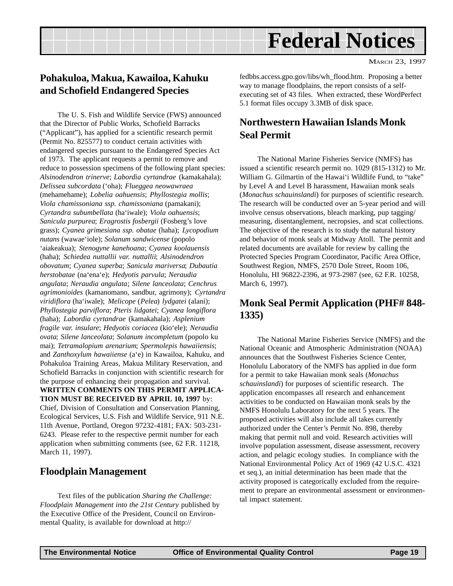## **Federal Notices**

#### <span id="page-18-0"></span>**Pohakuloa, Makua, Kawailoa, Kahuku and Schofield Endangered Species**

The U. S. Fish and Wildlife Service (FWS) announced that the Director of Public Works, Schofield Barracks ("Applicant"), has applied for a scientific research permit (Permit No. 825577) to conduct certain activities with endangered species pursuant to the Endangered Species Act of 1973. The applicant requests a permit to remove and reduce to possession specimens of the following plant species: *Alsinodendron trinerve*; *Labordia cyrtandrae* (kamakahala); *Delissea subcordata* ('oha); *Flueggea neowawraea* (mehamehame); *Lobelia oahuensis*; *Phyllostegia mollis*; *Viola chamissoniana ssp. chamissoniana* (pamakani); *Cyrtandra subumbellata* (ha'iwale); *Viola oahuensis*; *Sanicula purpurea*; *Eragrostis fosbergii* (Fosberg's love grass); *Cyanea grimesiana ssp. obatae* (haha); *Lycopodium nutans* (wawae'iole); *Solanum sandwicense* (popolo 'aiakeakua); *Stenogyne kanehoana*; *Cyanea koolauensis* (haha); *Schiedea nuttallii var. nuttallii*; *Alsinodendron obovatum*; *Cyanea superba*; *Sanicula mariversa*; *Dubautia herstobatae* (na'ena'e); *Hedyotis parvula*; *Neraudia angulata*; *Neraudia angulata*; *Silene lanceolata*; *Cenchrus agrimonioides* (kamanomano, sandbur, agrimony); *Cyrtandra viridiflora* (ha'iwale); *Melicope* (*Pelea*) *lydgatei* (alani); *Phyllostegia parviflora*; *Pteris lidgatei*; *Cyanea longiflora* (haha); *Labordia cyrtandrae* (kamakahala); *Asplenium fragile var. insulare*; *Hedyotis coriacea* (kio'ele); *Neraudia ovata*; *Silene lanceolata*; *Solanum incompletum* (popolo ku mai); *Tetramalopium arenarium*; *Spermolepis hawaiiensis*; and *Zanthoxylum hawaiiense* (a'e) in Kawailoa, Kahuku, and Pohakuloa Training Areas, Makua Military Reservation, and Schofield Barracks in conjunction with scientific research for the purpose of enhancing their propagation and survival. **WRITTEN COMMENTS ON THIS PERMIT APPLICA-TION MUST BE RECEIVED BY APRIL 10, 1997** by: Chief, Division of Consultation and Conservation Planning, Ecological Services, U.S. Fish and Wildlife Service, 911 N.E. 11th Avenue, Portland, Oregon 97232-4181; FAX: 503-231- 6243. Please refer to the respective permit number for each application when submitting comments (see, 62 F.R. 11218, March 11, 1997).

#### **Floodplain Management**

Text files of the publication *Sharing the Challenge: Floodplain Management into the 21st Century* published by the Executive Office of the President, Council on Environmental Quality, is available for download at http://

fedbbs.access.gpo.gov/libs/wh\_flood.htm. Proposing a better way to manage floodplains, the report consists of a selfexecuting set of 43 files. When extracted, these WordPerfect 5.1 format files occupy 3.3MB of disk space.

#### **Northwestern Hawaiian Islands Monk Seal Permit**

The National Marine Fisheries Service (NMFS) has issued a scientific research permit no. 1029 (815-1312) to Mr. William G. Gilmartin of the Hawai'i Wildlife Fund, to "take" by Level A and Level B harassment, Hawaiian monk seals (*Monachus schauinslandi*) for purposes of scientific research. The research will be conducted over an 5-year period and will involve census observations, bleach marking, pup tagging/ measuring, disentanglement, necropsies, and scat collections. The objective of the research is to study the natural history and behavior of monk seals at Midway Atoll. The permit and related documents are available for review by calling the Protected Species Program Coordinator, Pacific Area Office, Southwest Region, NMFS, 2570 Dole Street, Room 106, Honolulu, HI 96822-2396, at 973-2987 (see, 62 F.R. 10258, March 6, 1997).

#### **Monk Seal Permit Application (PHF# 848- 1335)**

The National Marine Fisheries Service (NMFS) and the National Oceanic and Atmospheric Administration (NOAA) announces that the Southwest Fisheries Science Center, Honolulu Laboratory of the NMFS has applied in due form for a permit to take Hawaiian monk seals (*Monachus schauinslandi*) for purposes of scientific research. The application encompasses all research and enhancement activities to be conducted on Hawaiian monk seals by the NMFS Honolulu Laboratory for the next 5 years. The proposed activities will also include all takes currently authorized under the Center's Permit No. 898, thereby making that permit null and void. Research activities will involve population assessment, disease assessment, recovery action, and pelagic ecology studies. In compliance with the National Environmental Policy Act of 1969 (42 U.S.C. 4321 et seq.), an initial determination has been made that the activity proposed is categorically excluded from the requirement to prepare an environmental assessment or environmental impact statement.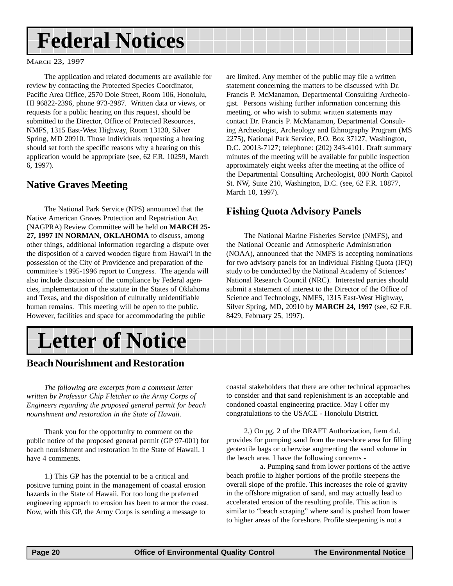## <span id="page-19-0"></span>**Federal Notices**

#### MARCH 23, 1997

The application and related documents are available for review by contacting the Protected Species Coordinator, Pacific Area Office, 2570 Dole Street, Room 106, Honolulu, HI 96822-2396, phone 973-2987. Written data or views, or requests for a public hearing on this request, should be submitted to the Director, Office of Protected Resources, NMFS, 1315 East-West Highway, Room 13130, Silver Spring, MD 20910. Those individuals requesting a hearing should set forth the specific reasons why a hearing on this application would be appropriate (see, 62 F.R. 10259, March 6, 1997).

#### **Native Graves Meeting**

The National Park Service (NPS) announced that the Native American Graves Protection and Repatriation Act (NAGPRA) Review Committee will be held on **MARCH 25- 27, 1997 IN NORMAN, OKLAHOMA** to discuss, among other things, additional information regarding a dispute over the disposition of a carved wooden figure from Hawai'i in the possession of the City of Providence and preparation of the committee's 1995-1996 report to Congress. The agenda will also include discussion of the compliance by Federal agencies, implementation of the statute in the States of Oklahoma and Texas, and the disposition of culturally unidentifiable human remains. This meeting will be open to the public. However, facilities and space for accommodating the public

**Letter of Notice**

#### **Beach Nourishment and Restoration**

*The following are excerpts from a comment letter written by Professor Chip Fletcher to the Army Corps of Engineers regarding the proposed general permit for beach nourishment and restoration in the State of Hawaii.*

Thank you for the opportunity to comment on the public notice of the proposed general permit (GP 97-001) for beach nourishment and restoration in the State of Hawaii. I have 4 comments.

1.) This GP has the potential to be a critical and positive turning point in the management of coastal erosion hazards in the State of Hawaii. For too long the preferred engineering approach to erosion has been to armor the coast. Now, with this GP, the Army Corps is sending a message to

are limited. Any member of the public may file a written statement concerning the matters to be discussed with Dr. Francis P. McManamon, Departmental Consulting Archeologist. Persons wishing further information concerning this meeting, or who wish to submit written statements may contact Dr. Francis P. McManamon, Departmental Consulting Archeologist, Archeology and Ethnography Program (MS 2275), National Park Service, P.O. Box 37127, Washington, D.C. 20013-7127; telephone: (202) 343-4101. Draft summary minutes of the meeting will be available for public inspection approximately eight weeks after the meeting at the office of the Departmental Consulting Archeologist, 800 North Capitol St. NW, Suite 210, Washington, D.C. (see, 62 F.R. 10877, March 10, 1997).

#### **Fishing Quota Advisory Panels**

The National Marine Fisheries Service (NMFS), and the National Oceanic and Atmospheric Administration (NOAA), announced that the NMFS is accepting nominations for two advisory panels for an Individual Fishing Quota (IFQ) study to be conducted by the National Academy of Sciences' National Research Council (NRC). Interested parties should submit a statement of interest to the Director of the Office of Science and Technology, NMFS, 1315 East-West Highway, Silver Spring, MD, 20910 by **MARCH 24, 1997** (see, 62 F.R. 8429, February 25, 1997).

coastal stakeholders that there are other technical approaches to consider and that sand replenishment is an acceptable and condoned coastal engineering practice. May I offer my congratulations to the USACE - Honolulu District.

2.) On pg. 2 of the DRAFT Authorization, Item 4.d. provides for pumping sand from the nearshore area for filling geotextile bags or otherwise augmenting the sand volume in the beach area. I have the following concerns -

 a. Pumping sand from lower portions of the active beach profile to higher portions of the profile steepens the overall slope of the profile. This increases the role of gravity in the offshore migration of sand, and may actually lead to accelerated erosion of the resulting profile. This action is similar to "beach scraping" where sand is pushed from lower to higher areas of the foreshore. Profile steepening is not a